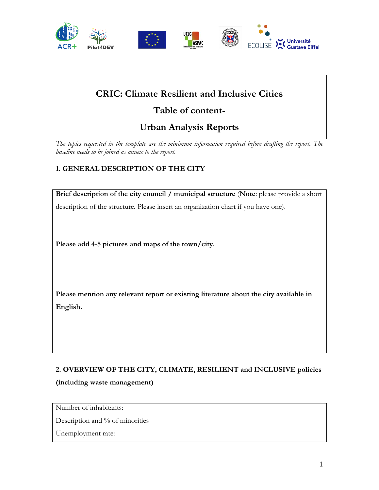

## **CRIC: Climate Resilient and Inclusive Cities**

# **Table of content-**

# **Urban Analysis Reports**

*The topics requested in the template are the minimum information required before drafting the report. The baseline needs to be joined as annex to the report.* 

### **1. GENERAL DESCRIPTION OF THE CITY**

**Brief description of the city council / municipal structure** (**Note**: please provide a short description of the structure. Please insert an organization chart if you have one).

**Please add 4-5 pictures and maps of the town/city.** 

**Please mention any relevant report or existing literature about the city available in English.**

# **2. OVERVIEW OF THE CITY, CLIMATE, RESILIENT and INCLUSIVE policies (including waste management)**

Number of inhabitants:

Description and % of minorities

Unemployment rate: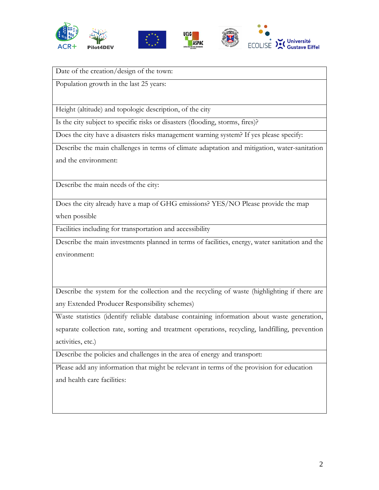







Date of the creation/design of the town:

Population growth in the last 25 years:

Height (altitude) and topologic description, of the city

Is the city subject to specific risks or disasters (flooding, storms, fires)?

Does the city have a disasters risks management warning system? If yes please specify:

Describe the main challenges in terms of climate adaptation and mitigation, water-sanitation and the environment:

Describe the main needs of the city:

Does the city already have a map of GHG emissions? YES/NO Please provide the map when possible

Facilities including for transportation and accessibility

Describe the main investments planned in terms of facilities, energy, water sanitation and the environment:

Describe the system for the collection and the recycling of waste (highlighting if there are any Extended Producer Responsibility schemes)

Waste statistics (identify reliable database containing information about waste generation, separate collection rate, sorting and treatment operations, recycling, landfilling, prevention activities, etc.)

Describe the policies and challenges in the area of energy and transport:

Please add any information that might be relevant in terms of the provision for education and health care facilities: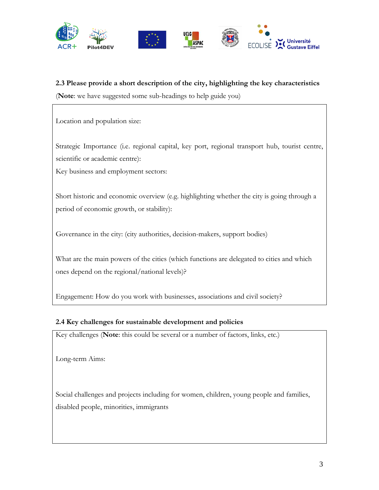

### **2.3 Please provide a short description of the city, highlighting the key characteristics**

(**Note**: we have suggested some sub-headings to help guide you)

Location and population size:

Strategic Importance (i.e. regional capital, key port, regional transport hub, tourist centre, scientific or academic centre):

Key business and employment sectors:

Short historic and economic overview (e.g. highlighting whether the city is going through a period of economic growth, or stability):

Governance in the city: (city authorities, decision-makers, support bodies)

What are the main powers of the cities (which functions are delegated to cities and which ones depend on the regional/national levels)?

Engagement: How do you work with businesses, associations and civil society?

#### **2.4 Key challenges for sustainable development and policies**

Key challenges (**Note**: this could be several or a number of factors, links, etc.)

Long-term Aims:

Social challenges and projects including for women, children, young people and families, disabled people, minorities, immigrants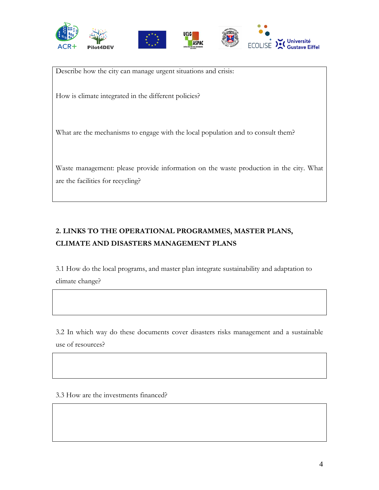







Describe how the city can manage urgent situations and crisis:

How is climate integrated in the different policies?

What are the mechanisms to engage with the local population and to consult them?

Waste management: please provide information on the waste production in the city. What are the facilities for recycling?

### **2. LINKS TO THE OPERATIONAL PROGRAMMES, MASTER PLANS, CLIMATE AND DISASTERS MANAGEMENT PLANS**

3.1 How do the local programs, and master plan integrate sustainability and adaptation to climate change?

3.2 In which way do these documents cover disasters risks management and a sustainable use of resources?

3.3 How are the investments financed?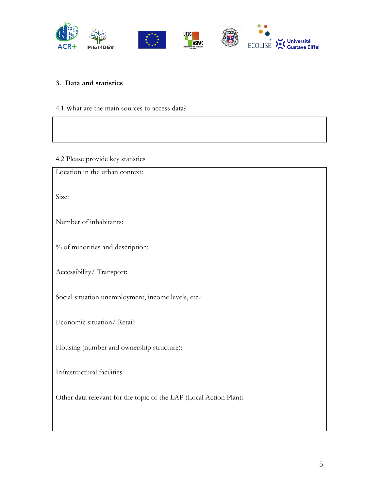

#### **3. Data and statistics**

4.1 What are the main sources to access data?

4.2 Please provide key statistics

Location in the urban context:

Size:

Number of inhabitants:

% of minorities and description:

Accessibility/ Transport:

Social situation unemployment, income levels, etc.:

Economic situation/ Retail:

Housing (number and ownership structure):

Infrastructural facilities:

Other data relevant for the topic of the LAP (Local Action Plan):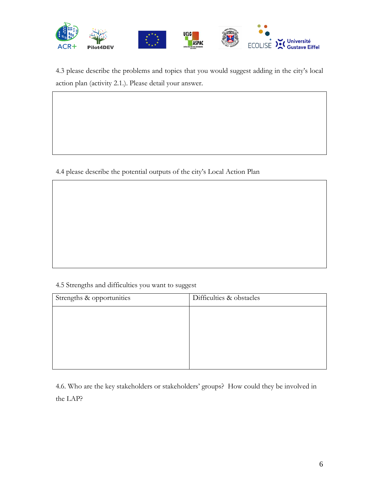

4.3 please describe the problems and topics that you would suggest adding in the city's local action plan (activity 2.1.). Please detail your answer.

4.4 please describe the potential outputs of the city's Local Action Plan

### 4.5 Strengths and difficulties you want to suggest

| Strengths & opportunities | Difficulties & obstacles |
|---------------------------|--------------------------|
|                           |                          |
|                           |                          |
|                           |                          |
|                           |                          |
|                           |                          |

4.6. Who are the key stakeholders or stakeholders' groups? How could they be involved in the LAP?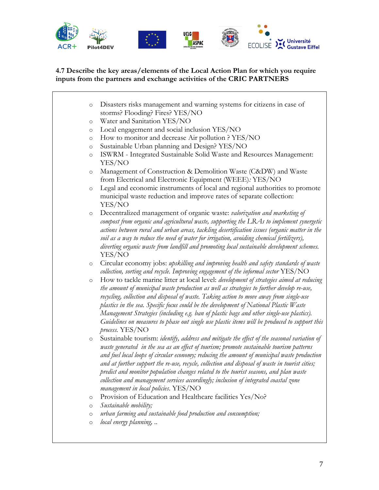

### **4.7 Describe the key areas/elements of the Local Action Plan for which you require inputs from the partners and exchange activities of the CRIC PARTNERS**

| $\circ$ | Disasters risks management and warning systems for citizens in case of                                                                                                                                                                                                                                                                                                                                                                                                                                                                                                                                                    |
|---------|---------------------------------------------------------------------------------------------------------------------------------------------------------------------------------------------------------------------------------------------------------------------------------------------------------------------------------------------------------------------------------------------------------------------------------------------------------------------------------------------------------------------------------------------------------------------------------------------------------------------------|
|         | storms? Flooding? Fires? YES/NO                                                                                                                                                                                                                                                                                                                                                                                                                                                                                                                                                                                           |
| $\circ$ | Water and Sanitation YES/NO                                                                                                                                                                                                                                                                                                                                                                                                                                                                                                                                                                                               |
| $\circ$ | Local engagement and social inclusion YES/NO                                                                                                                                                                                                                                                                                                                                                                                                                                                                                                                                                                              |
| $\circ$ | How to monitor and decrease Air pollution ? YES/NO                                                                                                                                                                                                                                                                                                                                                                                                                                                                                                                                                                        |
| $\circ$ | Sustainable Urban planning and Design? YES/NO                                                                                                                                                                                                                                                                                                                                                                                                                                                                                                                                                                             |
| $\circ$ | ISWRM - Integrated Sustainable Solid Waste and Resources Management:<br>YES/NO                                                                                                                                                                                                                                                                                                                                                                                                                                                                                                                                            |
| $\circ$ | Management of Construction & Demolition Waste (C&DW) and Waste<br>from Electrical and Electronic Equipment (WEEE): YES/NO                                                                                                                                                                                                                                                                                                                                                                                                                                                                                                 |
| $\circ$ | Legal and economic instruments of local and regional authorities to promote<br>municipal waste reduction and improve rates of separate collection:<br>YES/NO                                                                                                                                                                                                                                                                                                                                                                                                                                                              |
| $\circ$ | Decentralized management of organic waste: valorization and marketing of<br>compost from organic and agricultural waste, supporting the LRAs to implement synergetic<br>actions between rural and urban areas, tackling desertification issues (organic matter in the<br>soil as a way to reduce the need of water for irrigation, avoiding chemical fertilizers),<br>diverting organic waste from landfill and promoting local sustainable development schemes.<br>YES/NO                                                                                                                                                |
| $\circ$ | Circular economy jobs: upskilling and improving health and safety standards of waste<br>collection, sorting and recycle. Improving engagement of the informal sector $YES/NO$                                                                                                                                                                                                                                                                                                                                                                                                                                             |
| $\circ$ | How to tackle marine litter at local level: development of strategies aimed at reducing<br>the amount of municipal waste production as well as strategies to further develop re-use,<br>recycling, collection and disposal of waste. Taking action to move away from single-use<br>plastics in the sea. Specific focus could be the development of National Plastic Waste<br>Management Strategies (including e.g. ban of plastic bags and other single-use plastics).<br>Guidelines on measures to phase out single use plastic items will be produced to support this<br>process. YES/NO                                |
| $\circ$ | Sustainable tourism: <i>identify, address and mitigate the effect of the seasonal variation of</i><br>waste generated in the sea as an effect of tourism; promote sustainable tourism patterns<br>and fuel local loops of circular economy; reducing the amount of municipal waste production<br>and at further support the re-use, recycle, collection and disposal of waste in tourist cities;<br>predict and monitor population changes related to the tourist seasons, and plan waste<br>collection and management services accordingly; inclusion of integrated coastal zone<br>management in local policies. YES/NO |
| $\circ$ | Provision of Education and Healthcare facilities Yes/No?                                                                                                                                                                                                                                                                                                                                                                                                                                                                                                                                                                  |
| $\circ$ | Sustainable mobility;                                                                                                                                                                                                                                                                                                                                                                                                                                                                                                                                                                                                     |
| $\circ$ | urban farming and sustainable food production and consumption;                                                                                                                                                                                                                                                                                                                                                                                                                                                                                                                                                            |
| $\circ$ | local energy planning,                                                                                                                                                                                                                                                                                                                                                                                                                                                                                                                                                                                                    |